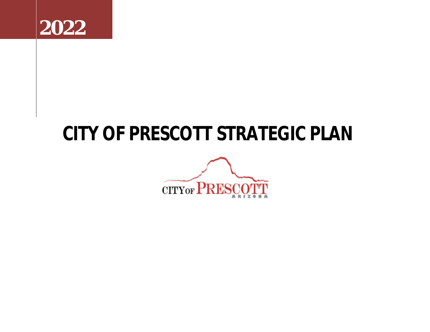

# **CITY OF PRESCOTT STRATEGIC PLAN**

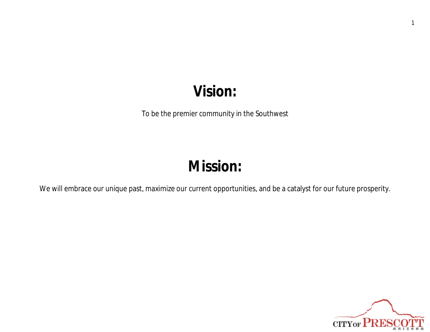## **Vision:**

To be the premier community in the Southwest

# **Mission:**

We will embrace our unique past, maximize our current opportunities, and be a catalyst for our future prosperity.

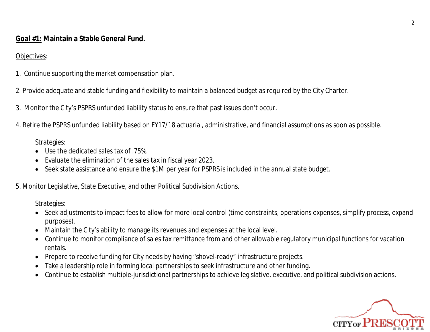**Goal #1: Maintain a Stable General Fund.**

### Objectives:

- 1. Continue supporting the market compensation plan.
- 2. Provide adequate and stable funding and flexibility to maintain a balanced budget as required by the City Charter.
- 3. Monitor the City's PSPRS unfunded liability status to ensure that past issues don't occur.
- 4. Retire the PSPRS unfunded liability based on FY17/18 actuarial, administrative, and financial assumptions as soon as possible.

Strategies:

- Use the dedicated sales tax of .75%.
- Evaluate the elimination of the sales tax in fiscal year 2023.
- Seek state assistance and ensure the \$1M per year for PSPRS is included in the annual state budget.

5. Monitor Legislative, State Executive, and other Political Subdivision Actions.

Strategies:

- Seek adjustments to impact fees to allow for more local control (time constraints, operations expenses, simplify process, expand purposes).
- Maintain the City's ability to manage its revenues and expenses at the local level.
- Continue to monitor compliance of sales tax remittance from and other allowable regulatory municipal functions for vacation rentals.
- Prepare to receive funding for City needs by having "shovel-ready" infrastructure projects.
- Take a leadership role in forming local partnerships to seek infrastructure and other funding.
- Continue to establish multiple-jurisdictional partnerships to achieve legislative, executive, and political subdivision actions.

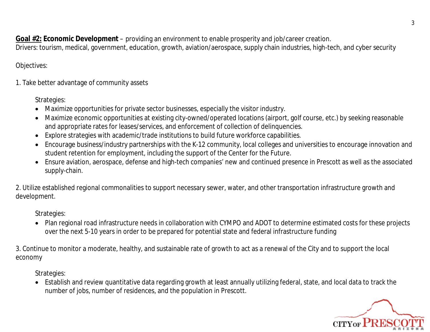**Goal #2: Economic Development** – providing an environment to enable prosperity and job/career creation.

Drivers: tourism, medical, government, education, growth, aviation/aerospace, supply chain industries, high-tech, and cyber security

#### Objectives:

1. Take better advantage of community assets

Strategies:

- Maximize opportunities for private sector businesses, especially the visitor industry.
- Maximize economic opportunities at existing city-owned/operated locations (airport, golf course, etc.) by seeking reasonable and appropriate rates for leases/services, and enforcement of collection of delinquencies.
- Explore strategies with academic/trade institutions to build future workforce capabilities.
- Encourage business/industry partnerships with the K-12 community, local colleges and universities to encourage innovation and student retention for employment, including the support of the Center for the Future.
- Ensure aviation, aerospace, defense and high-tech companies' new and continued presence in Prescott as well as the associated supply-chain.

2. Utilize established regional commonalities to support necessary sewer, water, and other transportation infrastructure growth and development.

Strategies:

 Plan regional road infrastructure needs in collaboration with CYMPO and ADOT to determine estimated costs for these projects over the next 5-10 years in order to be prepared for potential state and federal infrastructure funding

3. Continue to monitor a moderate, healthy, and sustainable rate of growth to act as a renewal of the City and to support the local economy

Strategies:

 Establish and review quantitative data regarding growth at least annually utilizing federal, state, and local data to track the number of jobs, number of residences, and the population in Prescott.

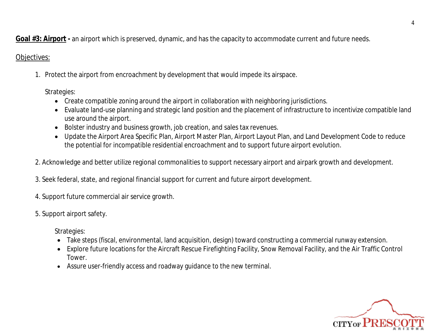**Goal #3: Airport -** an airport which is preserved, dynamic, and has the capacity to accommodate current and future needs.

### Objectives:

1. Protect the airport from encroachment by development that would impede its airspace.

Strategies:

- Create compatible zoning around the airport in collaboration with neighboring jurisdictions.
- Evaluate land-use planning and strategic land position and the placement of infrastructure to incentivize compatible land use around the airport.
- Bolster industry and business growth, job creation, and sales tax revenues.
- Update the Airport Area Specific Plan, Airport Master Plan, Airport Layout Plan, and Land Development Code to reduce the potential for incompatible residential encroachment and to support future airport evolution.
- 2. Acknowledge and better utilize regional commonalities to support necessary airport and airpark growth and development.
- 3. Seek federal, state, and regional financial support for current and future airport development.
- 4. Support future commercial air service growth.
- 5. Support airport safety.

Strategies:

- Take steps (fiscal, environmental, land acquisition, design) toward constructing a commercial runway extension.
- Explore future locations for the Aircraft Rescue Firefighting Facility, Snow Removal Facility, and the Air Traffic Control Tower.
- Assure user-friendly access and roadway guidance to the new terminal.

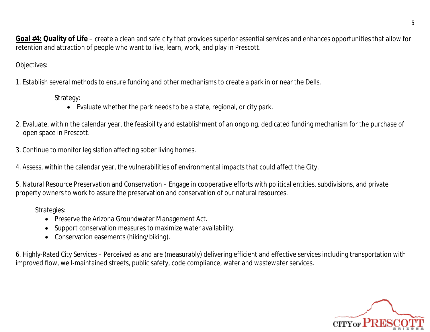**Goal #4: Quality of Life** – create a clean and safe city that provides superior essential services and enhances opportunities that allow for retention and attraction of people who want to live, learn, work, and play in Prescott.

Objectives:

1. Establish several methods to ensure funding and other mechanisms to create a park in or near the Dells.

Strategy:

- Evaluate whether the park needs to be a state, regional, or city park.
- 2. Evaluate, within the calendar year, the feasibility and establishment of an ongoing, dedicated funding mechanism for the purchase of open space in Prescott.
- 3. Continue to monitor legislation affecting sober living homes.

4. Assess, within the calendar year, the vulnerabilities of environmental impacts that could affect the City.

5. Natural Resource Preservation and Conservation – Engage in cooperative efforts with political entities, subdivisions, and private property owners to work to assure the preservation and conservation of our natural resources.

Strategies:

- Preserve the Arizona Groundwater Management Act.
- Support conservation measures to maximize water availability.
- Conservation easements (hiking/biking).

6. Highly-Rated City Services – Perceived as and are (measurably) delivering efficient and effective services including transportation with improved flow, well-maintained streets, public safety, code compliance, water and wastewater services.

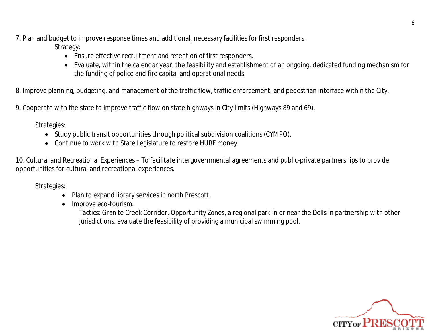7. Plan and budget to improve response times and additional, necessary facilities for first responders.

Strategy:

- Ensure effective recruitment and retention of first responders.
- Evaluate, within the calendar year, the feasibility and establishment of an ongoing, dedicated funding mechanism for the funding of police and fire capital and operational needs.

8. Improve planning, budgeting, and management of the traffic flow, traffic enforcement, and pedestrian interface within the City.

9. Cooperate with the state to improve traffic flow on state highways in City limits (Highways 89 and 69).

Strategies:

- Study public transit opportunities through political subdivision coalitions (CYMPO).
- Continue to work with State Legislature to restore HURF money.

10. Cultural and Recreational Experiences – To facilitate intergovernmental agreements and public-private partnerships to provide opportunities for cultural and recreational experiences.

Strategies:

- Plan to expand library services in north Prescott.
- Improve eco-tourism.

Tactics: Granite Creek Corridor, Opportunity Zones, a regional park in or near the Dells in partnership with other jurisdictions, evaluate the feasibility of providing a municipal swimming pool.